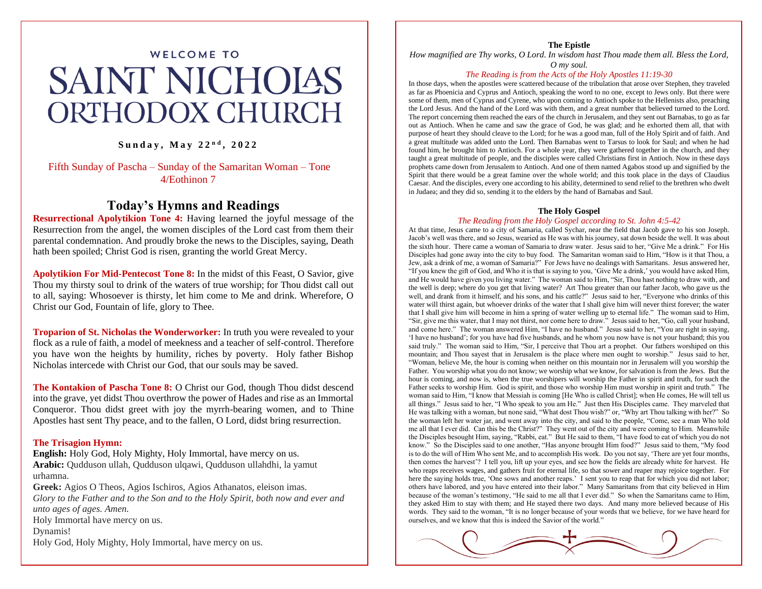# WELCOME TO **SAINT NICHOIAS** ORTHODOX CHURCH

# **S u n d a y , M a y 2 2 n d , 2 0 2 2**

Fifth Sunday of Pascha – Sunday of the Samaritan Woman – Tone 4/Eothinon 7

# **Today's Hymns and Readings**

**Resurrectional Apolytikion Tone 4:** Having learned the joyful message of the Resurrection from the angel, the women disciples of the Lord cast from them their parental condemnation. And proudly broke the news to the Disciples, saying, Death hath been spoiled; Christ God is risen, granting the world Great Mercy.

**Apolytikion For Mid-Pentecost Tone 8:** In the midst of this Feast, O Savior, give Thou my thirsty soul to drink of the waters of true worship; for Thou didst call out to all, saying: Whosoever is thirsty, let him come to Me and drink. Wherefore, O Christ our God, Fountain of life, glory to Thee.

**Troparion of St. Nicholas the Wonderworker:** In truth you were revealed to your flock as a rule of faith, a model of meekness and a teacher of self-control. Therefore you have won the heights by humility, riches by poverty. Holy father Bishop Nicholas intercede with Christ our God, that our souls may be saved.

**The Kontakion of Pascha Tone 8:** O Christ our God, though Thou didst descend into the grave, yet didst Thou overthrow the power of Hades and rise as an Immortal Conqueror. Thou didst greet with joy the myrrh-bearing women, and to Thine Apostles hast sent Thy peace, and to the fallen, O Lord, didst bring resurrection.

### **The Trisagion Hymn:**

**English:** Holy God, Holy Mighty, Holy Immortal, have mercy on us. **Arabic:** Qudduson ullah, Qudduson ulqawi, Qudduson ullahdhi, la yamut urhamna.

**Greek:** Agios O Theos, Agios Ischiros, Agios Athanatos, eleison imas. *Glory to the Father and to the Son and to the Holy Spirit, both now and ever and unto ages of ages. Amen.*

Holy Immortal have mercy on us.

Dynamis!

Holy God, Holy Mighty, Holy Immortal, have mercy on us.

#### **The Epistle**

*How magnified are Thy works, O Lord. In wisdom hast Thou made them all. Bless the Lord, O my soul.*

#### *The Reading is from the Acts of the Holy Apostles 11:19-30*

In those days, when the apostles were scattered because of the tribulation that arose over Stephen, they traveled as far as Phoenicia and Cyprus and Antioch, speaking the word to no one, except to Jews only. But there were some of them, men of Cyprus and Cyrene, who upon coming to Antioch spoke to the Hellenists also, preaching the Lord Jesus. And the hand of the Lord was with them, and a great number that believed turned to the Lord. The report concerning them reached the ears of the church in Jerusalem, and they sent out Barnabas, to go as far out as Antioch. When he came and saw the grace of God, he was glad; and he exhorted them all, that with purpose of heart they should cleave to the Lord; for he was a good man, full of the Holy Spirit and of faith. And a great multitude was added unto the Lord. Then Barnabas went to Tarsus to look for Saul; and when he had found him, he brought him to Antioch. For a whole year, they were gathered together in the church, and they taught a great multitude of people, and the disciples were called Christians first in Antioch. Now in these days prophets came down from Jerusalem to Antioch. And one of them named Agabos stood up and signified by the Spirit that there would be a great famine over the whole world; and this took place in the days of Claudius Caesar. And the disciples, every one according to his ability, determined to send relief to the brethren who dwelt in Judaea; and they did so, sending it to the elders by the hand of Barnabas and Saul.

#### **The Holy Gospel**

#### *The Reading from the Holy Gospel according to St. John 4:5-42*

At that time, Jesus came to a city of Samaria, called Sychar, near the field that Jacob gave to his son Joseph. Jacob's well was there, and so Jesus, wearied as He was with his journey, sat down beside the well. It was about the sixth hour. There came a woman of Samaria to draw water. Jesus said to her, "Give Me a drink." For His Disciples had gone away into the city to buy food. The Samaritan woman said to Him, "How is it that Thou, a Jew, ask a drink of me, a woman of Samaria?" For Jews have no dealings with Samaritans. Jesus answered her, "If you knew the gift of God, and Who it is that is saying to you, 'Give Me a drink,' you would have asked Him, and He would have given you living water." The woman said to Him, "Sir, Thou hast nothing to draw with, and the well is deep; where do you get that living water? Art Thou greater than our father Jacob, who gave us the well, and drank from it himself, and his sons, and his cattle?" Jesus said to her, "Everyone who drinks of this water will thirst again, but whoever drinks of the water that I shall give him will never thirst forever; the water that I shall give him will become in him a spring of water welling up to eternal life." The woman said to Him, "Sir, give me this water, that I may not thirst, nor come here to draw." Jesus said to her, "Go, call your husband, and come here." The woman answered Him, "I have no husband." Jesus said to her, "You are right in saying, 'I have no husband'; for you have had five husbands, and he whom you now have is not your husband; this you said truly." The woman said to Him, "Sir, I perceive that Thou art a prophet. Our fathers worshiped on this mountain; and Thou sayest that in Jerusalem is the place where men ought to worship." Jesus said to her, "Woman, believe Me, the hour is coming when neither on this mountain nor in Jerusalem will you worship the Father. You worship what you do not know; we worship what we know, for salvation is from the Jews. But the hour is coming, and now is, when the true worshipers will worship the Father in spirit and truth, for such the Father seeks to worship Him. God is spirit, and those who worship Him must worship in spirit and truth." The woman said to Him, "I know that Messiah is coming [He Who is called Christ]; when He comes, He will tell us all things." Jesus said to her, "I Who speak to you am He." Just then His Disciples came. They marveled that He was talking with a woman, but none said, "What dost Thou wish?" or, "Why art Thou talking with her?" So the woman left her water jar, and went away into the city, and said to the people, "Come, see a man Who told me all that I ever did. Can this be the Christ?" They went out of the city and were coming to Him. Meanwhile the Disciples besought Him, saying, "Rabbi, eat." But He said to them, "I have food to eat of which you do not know." So the Disciples said to one another, "Has anyone brought Him food?" Jesus said to them, "My food is to do the will of Him Who sent Me, and to accomplish His work. Do you not say, 'There are yet four months, then comes the harvest'? I tell you, lift up your eyes, and see how the fields are already white for harvest. He who reaps receives wages, and gathers fruit for eternal life, so that sower and reaper may rejoice together. For here the saying holds true, 'One sows and another reaps.' I sent you to reap that for which you did not labor; others have labored, and you have entered into their labor." Many Samaritans from that city believed in Him because of the woman's testimony, "He said to me all that I ever did." So when the Samaritans came to Him, they asked Him to stay with them; and He stayed there two days. And many more believed because of His words. They said to the woman, "It is no longer because of your words that we believe, for we have heard for ourselves, and we know that this is indeed the Savior of the world."